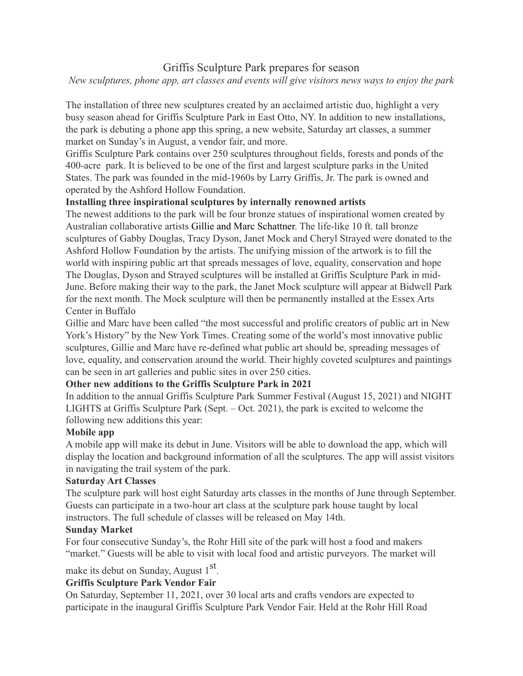# Griffis Sculpture Park prepares for season

### *New sculptures, phone app, art classes and events will give visitors news ways to enjoy the park*

The installation of three new sculptures created by an acclaimed artistic duo, highlight a very busy season ahead for Griffis Sculpture Park in East Otto, NY. In addition to new installations, the park is debuting a phone app this spring, a new website, Saturday art classes, a summer market on Sunday's in August, a vendor fair, and more.

Griffis Sculpture Park contains over 250 sculptures throughout fields, forests and ponds of the 400-acre park. It is believed to be one of the first and largest sculpture parks in the United States. The park was founded in the mid-1960s by Larry Griffis, Jr. The park is owned and operated by the Ashford Hollow Foundation.

### **Installing three inspirational sculptures by internally renowned artists**

The newest additions to the park will be four bronze statues of inspirational women created by Australian collaborative artists Gillie and Marc Schattner. The life-like 10 ft. tall bronze sculptures of Gabby Douglas, Tracy Dyson, Janet Mock and Cheryl Strayed were donated to the Ashford Hollow Foundation by the artists. The unifying mission of the artwork is to fill the world with inspiring public art that spreads messages of love, equality, conservation and hope The Douglas, Dyson and Strayed sculptures will be installed at Griffis Sculpture Park in mid-June. Before making their way to the park, the Janet Mock sculpture will appear at Bidwell Park for the next month. The Mock sculpture will then be permanently installed at the Essex Arts Center in Buffalo

Gillie and Marc have been called "the most successful and prolific creators of public art in New York's History" by the New York Times. Creating some of the world's most innovative public sculptures, Gillie and Marc have re-defined what public art should be, spreading messages of love, equality, and conservation around the world. Their highly coveted sculptures and paintings can be seen in art galleries and public sites in over 250 cities.

# **Other new additions to the Griffis Sculpture Park in 2021**

In addition to the annual Griffis Sculpture Park Summer Festival (August 15, 2021) and NIGHT LIGHTS at Griffis Sculpture Park (Sept. – Oct. 2021), the park is excited to welcome the following new additions this year:

#### **Mobile app**

A mobile app will make its debut in June. Visitors will be able to download the app, which will display the location and background information of all the sculptures. The app will assist visitors in navigating the trail system of the park.

#### **Saturday Art Classes**

The sculpture park will host eight Saturday arts classes in the months of June through September. Guests can participate in a two-hour art class at the sculpture park house taught by local instructors. The full schedule of classes will be released on May 14th.

#### **Sunday Market**

For four consecutive Sunday's, the Rohr Hill site of the park will host a food and makers "market." Guests will be able to visit with local food and artistic purveyors. The market will

make its debut on Sunday, August  $1<sup>st</sup>$ .

# **Griffis Sculpture Park Vendor Fair**

On Saturday, September 11, 2021, over 30 local arts and crafts vendors are expected to participate in the inaugural Griffis Sculpture Park Vendor Fair. Held at the Rohr Hill Road